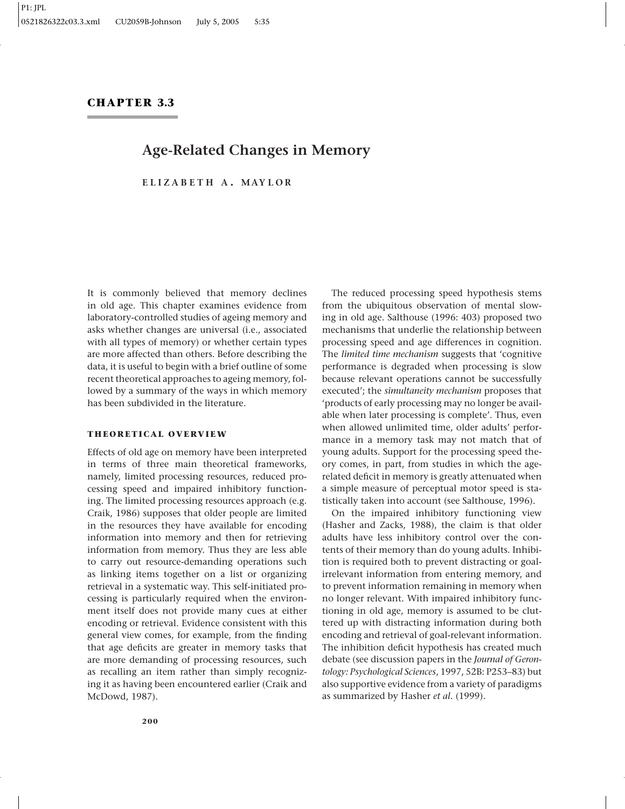# **CHAPTER 3.3**

# **Age-Related Changes in Memory**

**ELIZABETH A . MAY LOR**

It is commonly believed that memory declines in old age. This chapter examines evidence from laboratory-controlled studies of ageing memory and asks whether changes are universal (i.e., associated with all types of memory) or whether certain types are more affected than others. Before describing the data, it is useful to begin with a brief outline of some recent theoretical approaches to ageing memory, followed by a summary of the ways in which memory has been subdivided in the literature.

## **THEORETICAL OVERVIEW**

Effects of old age on memory have been interpreted in terms of three main theoretical frameworks, namely, limited processing resources, reduced processing speed and impaired inhibitory functioning. The limited processing resources approach (e.g. Craik, 1986) supposes that older people are limited in the resources they have available for encoding information into memory and then for retrieving information from memory. Thus they are less able to carry out resource-demanding operations such as linking items together on a list or organizing retrieval in a systematic way. This self-initiated processing is particularly required when the environment itself does not provide many cues at either encoding or retrieval. Evidence consistent with this general view comes, for example, from the finding that age deficits are greater in memory tasks that are more demanding of processing resources, such as recalling an item rather than simply recognizing it as having been encountered earlier (Craik and McDowd, 1987).

The reduced processing speed hypothesis stems from the ubiquitous observation of mental slowing in old age. Salthouse (1996: 403) proposed two mechanisms that underlie the relationship between processing speed and age differences in cognition. The *limited time mechanism* suggests that 'cognitive performance is degraded when processing is slow because relevant operations cannot be successfully executed'; the *simultaneity mechanism* proposes that 'products of early processing may no longer be available when later processing is complete'. Thus, even when allowed unlimited time, older adults' performance in a memory task may not match that of young adults. Support for the processing speed theory comes, in part, from studies in which the agerelated deficit in memory is greatly attenuated when a simple measure of perceptual motor speed is statistically taken into account (see Salthouse, 1996).

On the impaired inhibitory functioning view (Hasher and Zacks, 1988), the claim is that older adults have less inhibitory control over the contents of their memory than do young adults. Inhibition is required both to prevent distracting or goalirrelevant information from entering memory, and to prevent information remaining in memory when no longer relevant. With impaired inhibitory functioning in old age, memory is assumed to be cluttered up with distracting information during both encoding and retrieval of goal-relevant information. The inhibition deficit hypothesis has created much debate (see discussion papers in the *Journal of Gerontology: Psychological Sciences*, 1997, 52B: P253–83) but also supportive evidence from a variety of paradigms as summarized by Hasher *et al.* (1999).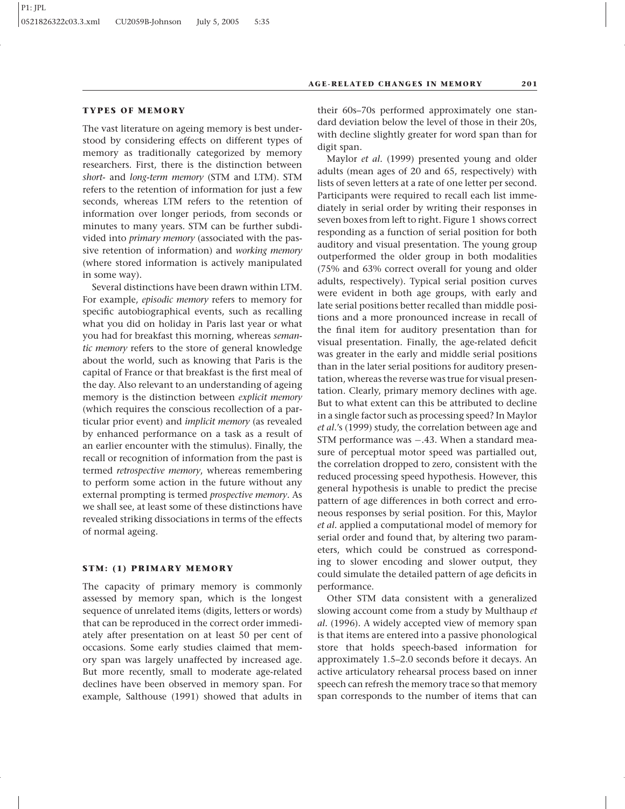## **AGE-RELATED CHANGES IN MEMORY 201**

The vast literature on ageing memory is best understood by considering effects on different types of memory as traditionally categorized by memory researchers. First, there is the distinction between *short-* and *long-term memory* (STM and LTM). STM refers to the retention of information for just a few seconds, whereas LTM refers to the retention of information over longer periods, from seconds or minutes to many years. STM can be further subdivided into *primary memory* (associated with the passive retention of information) and *working memory* (where stored information is actively manipulated in some way).

Several distinctions have been drawn within LTM. For example, *episodic memory* refers to memory for specific autobiographical events, such as recalling what you did on holiday in Paris last year or what you had for breakfast this morning, whereas *semantic memory* refers to the store of general knowledge about the world, such as knowing that Paris is the capital of France or that breakfast is the first meal of the day. Also relevant to an understanding of ageing memory is the distinction between *explicit memory* (which requires the conscious recollection of a particular prior event) and *implicit memory* (as revealed by enhanced performance on a task as a result of an earlier encounter with the stimulus). Finally, the recall or recognition of information from the past is termed *retrospective memory*, whereas remembering to perform some action in the future without any external prompting is termed *prospective memory*. As we shall see, at least some of these distinctions have revealed striking dissociations in terms of the effects of normal ageing.

#### **STM: (1) PRIMARY MEMORY**

The capacity of primary memory is commonly assessed by memory span, which is the longest sequence of unrelated items (digits, letters or words) that can be reproduced in the correct order immediately after presentation on at least 50 per cent of occasions. Some early studies claimed that memory span was largely unaffected by increased age. But more recently, small to moderate age-related declines have been observed in memory span. For example, Salthouse (1991) showed that adults in

their 60s–70s performed approximately one standard deviation below the level of those in their 20s, with decline slightly greater for word span than for digit span.

Maylor *et al.* (1999) presented young and older adults (mean ages of 20 and 65, respectively) with lists of seven letters at a rate of one letter per second. Participants were required to recall each list immediately in serial order by writing their responses in seven boxes from left to right. Figure 1 shows correct responding as a function of serial position for both auditory and visual presentation. The young group outperformed the older group in both modalities (75% and 63% correct overall for young and older adults, respectively). Typical serial position curves were evident in both age groups, with early and late serial positions better recalled than middle positions and a more pronounced increase in recall of the final item for auditory presentation than for visual presentation. Finally, the age-related deficit was greater in the early and middle serial positions than in the later serial positions for auditory presentation, whereas the reverse was true for visual presentation. Clearly, primary memory declines with age. But to what extent can this be attributed to decline in a single factor such as processing speed? In Maylor *et al.*'s (1999) study, the correlation between age and STM performance was −.43. When a standard measure of perceptual motor speed was partialled out, the correlation dropped to zero, consistent with the reduced processing speed hypothesis. However, this general hypothesis is unable to predict the precise pattern of age differences in both correct and erroneous responses by serial position. For this, Maylor *et al.* applied a computational model of memory for serial order and found that, by altering two parameters, which could be construed as corresponding to slower encoding and slower output, they could simulate the detailed pattern of age deficits in performance.

Other STM data consistent with a generalized slowing account come from a study by Multhaup *et al.* (1996). A widely accepted view of memory span is that items are entered into a passive phonological store that holds speech-based information for approximately 1.5–2.0 seconds before it decays. An active articulatory rehearsal process based on inner speech can refresh the memory trace so that memory span corresponds to the number of items that can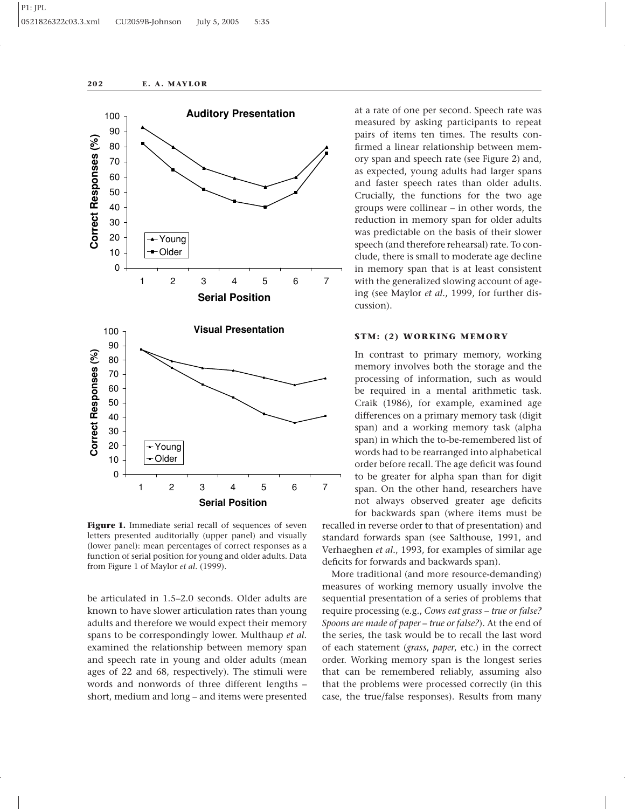



**Figure 1.** Immediate serial recall of sequences of seven letters presented auditorially (upper panel) and visually (lower panel): mean percentages of correct responses as a function of serial position for young and older adults. Data from Figure 1 of Maylor *et al.* (1999).

be articulated in 1.5–2.0 seconds. Older adults are known to have slower articulation rates than young adults and therefore we would expect their memory spans to be correspondingly lower. Multhaup *et al.* examined the relationship between memory span and speech rate in young and older adults (mean ages of 22 and 68, respectively). The stimuli were words and nonwords of three different lengths – short, medium and long – and items were presented at a rate of one per second. Speech rate was measured by asking participants to repeat pairs of items ten times. The results confirmed a linear relationship between memory span and speech rate (see Figure 2) and, as expected, young adults had larger spans and faster speech rates than older adults. Crucially, the functions for the two age groups were collinear – in other words, the reduction in memory span for older adults was predictable on the basis of their slower speech (and therefore rehearsal) rate. To conclude, there is small to moderate age decline in memory span that is at least consistent with the generalized slowing account of ageing (see Maylor *et al.*, 1999, for further discussion).

#### **STM: (2) WORKING MEMORY**

In contrast to primary memory, working memory involves both the storage and the processing of information, such as would be required in a mental arithmetic task. Craik (1986), for example, examined age differences on a primary memory task (digit span) and a working memory task (alpha span) in which the to-be-remembered list of words had to be rearranged into alphabetical order before recall. The age deficit was found to be greater for alpha span than for digit span. On the other hand, researchers have not always observed greater age deficits for backwards span (where items must be

recalled in reverse order to that of presentation) and standard forwards span (see Salthouse, 1991, and Verhaeghen *et al.*, 1993, for examples of similar age deficits for forwards and backwards span).

More traditional (and more resource-demanding) measures of working memory usually involve the sequential presentation of a series of problems that require processing (e.g., *Cows eat grass – true or false? Spoons are made of paper – true or false?*). At the end of the series, the task would be to recall the last word of each statement (*grass*, *paper*, etc.) in the correct order. Working memory span is the longest series that can be remembered reliably, assuming also that the problems were processed correctly (in this case, the true/false responses). Results from many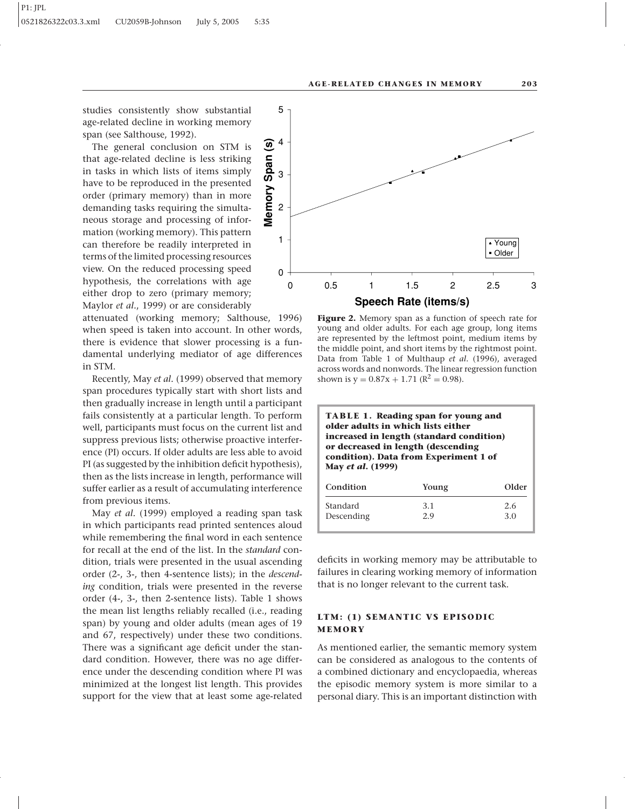studies consistently show substantial age-related decline in working memory span (see Salthouse, 1992).

The general conclusion on STM is that age-related decline is less striking in tasks in which lists of items simply have to be reproduced in the presented order (primary memory) than in more demanding tasks requiring the simultaneous storage and processing of information (working memory). This pattern can therefore be readily interpreted in terms of the limited processing resources view. On the reduced processing speed hypothesis, the correlations with age either drop to zero (primary memory; Maylor *et al.*, 1999) or are considerably

attenuated (working memory; Salthouse, 1996) when speed is taken into account. In other words, there is evidence that slower processing is a fundamental underlying mediator of age differences in STM.

Recently, May *et al.* (1999) observed that memory span procedures typically start with short lists and then gradually increase in length until a participant fails consistently at a particular length. To perform well, participants must focus on the current list and suppress previous lists; otherwise proactive interference (PI) occurs. If older adults are less able to avoid PI (as suggested by the inhibition deficit hypothesis), then as the lists increase in length, performance will suffer earlier as a result of accumulating interference from previous items.

May *et al.* (1999) employed a reading span task in which participants read printed sentences aloud while remembering the final word in each sentence for recall at the end of the list. In the *standard* condition, trials were presented in the usual ascending order (2-, 3-, then 4-sentence lists); in the *descending* condition, trials were presented in the reverse order (4-, 3-, then 2-sentence lists). Table 1 shows the mean list lengths reliably recalled (i.e., reading span) by young and older adults (mean ages of 19 and 67, respectively) under these two conditions. There was a significant age deficit under the standard condition. However, there was no age difference under the descending condition where PI was minimized at the longest list length. This provides support for the view that at least some age-related



**Figure 2.** Memory span as a function of speech rate for young and older adults. For each age group, long items are represented by the leftmost point, medium items by the middle point, and short items by the rightmost point. Data from Table 1 of Multhaup *et al.* (1996), averaged across words and nonwords. The linear regression function shown is  $y = 0.87x + 1.71$  ( $R^2 = 0.98$ ).

| TABLE 1. Reading span for young and<br>older adults in which lists either<br>increased in length (standard condition)<br>or decreased in length (descending<br>condition). Data from Experiment 1 of<br>May et al. (1999) |           |            |
|---------------------------------------------------------------------------------------------------------------------------------------------------------------------------------------------------------------------------|-----------|------------|
| Condition                                                                                                                                                                                                                 | Young     | Older      |
| Standard<br>Descending                                                                                                                                                                                                    | 3.1<br>29 | 2.6<br>3.0 |

deficits in working memory may be attributable to failures in clearing working memory of information that is no longer relevant to the current task.

## **LTM: (1) SEMANTIC VS EPISODIC MEMORY**

As mentioned earlier, the semantic memory system can be considered as analogous to the contents of a combined dictionary and encyclopaedia, whereas the episodic memory system is more similar to a personal diary. This is an important distinction with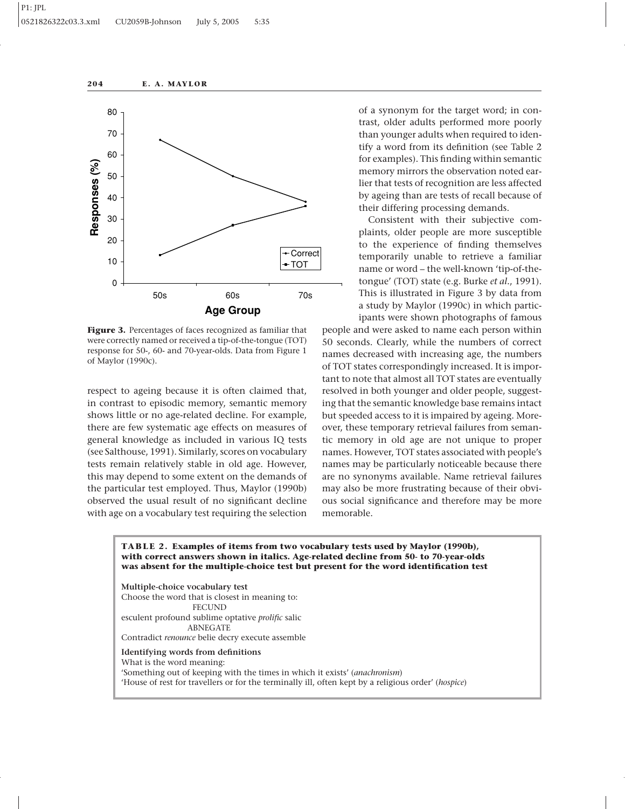#### **204 E. A. MAYLOR**



**Figure 3.** Percentages of faces recognized as familiar that were correctly named or received a tip-of-the-tongue (TOT) response for 50-, 60- and 70-year-olds. Data from Figure 1 of Maylor (1990c).

respect to ageing because it is often claimed that, in contrast to episodic memory, semantic memory shows little or no age-related decline. For example, there are few systematic age effects on measures of general knowledge as included in various IQ tests (see Salthouse, 1991). Similarly, scores on vocabulary tests remain relatively stable in old age. However, this may depend to some extent on the demands of the particular test employed. Thus, Maylor (1990b) observed the usual result of no significant decline with age on a vocabulary test requiring the selection

of a synonym for the target word; in contrast, older adults performed more poorly than younger adults when required to identify a word from its definition (see Table 2 for examples). This finding within semantic memory mirrors the observation noted earlier that tests of recognition are less affected by ageing than are tests of recall because of their differing processing demands.

Consistent with their subjective complaints, older people are more susceptible to the experience of finding themselves temporarily unable to retrieve a familiar name or word – the well-known 'tip-of-thetongue' (TOT) state (e.g. Burke *et al.*, 1991). This is illustrated in Figure 3 by data from a study by Maylor (1990c) in which participants were shown photographs of famous

people and were asked to name each person within 50 seconds. Clearly, while the numbers of correct names decreased with increasing age, the numbers of TOT states correspondingly increased. It is important to note that almost all TOT states are eventually resolved in both younger and older people, suggesting that the semantic knowledge base remains intact but speeded access to it is impaired by ageing. Moreover, these temporary retrieval failures from semantic memory in old age are not unique to proper names. However, TOT states associated with people's names may be particularly noticeable because there are no synonyms available. Name retrieval failures may also be more frustrating because of their obvious social significance and therefore may be more memorable.

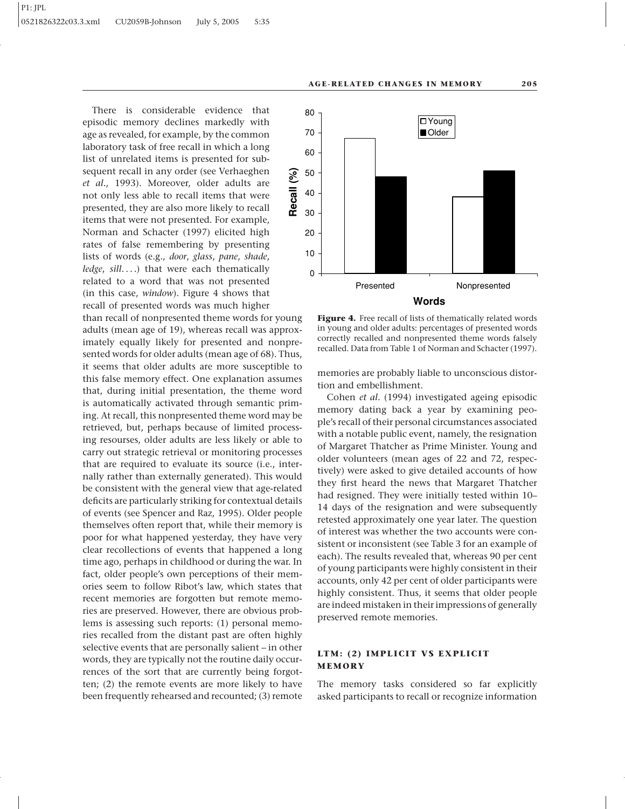There is considerable evidence that episodic memory declines markedly with age as revealed, for example, by the common laboratory task of free recall in which a long list of unrelated items is presented for subsequent recall in any order (see Verhaeghen *et al.*, 1993). Moreover, older adults are not only less able to recall items that were presented, they are also more likely to recall items that were not presented. For example, Norman and Schacter (1997) elicited high rates of false remembering by presenting lists of words (e.g., *door*, *glass*, *pane*, *shade*, *ledge, sill....*) that were each thematically related to a word that was not presented

(in this case, *window*). Figure 4 shows that

recall of presented words was much higher than recall of nonpresented theme words for young adults (mean age of 19), whereas recall was approximately equally likely for presented and nonpresented words for older adults (mean age of 68). Thus, it seems that older adults are more susceptible to this false memory effect. One explanation assumes that, during initial presentation, the theme word is automatically activated through semantic priming. At recall, this nonpresented theme word may be retrieved, but, perhaps because of limited processing resourses, older adults are less likely or able to carry out strategic retrieval or monitoring processes that are required to evaluate its source (i.e., internally rather than externally generated). This would be consistent with the general view that age-related deficits are particularly striking for contextual details of events (see Spencer and Raz, 1995). Older people themselves often report that, while their memory is poor for what happened yesterday, they have very clear recollections of events that happened a long time ago, perhaps in childhood or during the war. In fact, older people's own perceptions of their memories seem to follow Ribot's law, which states that recent memories are forgotten but remote memories are preserved. However, there are obvious problems is assessing such reports: (1) personal memories recalled from the distant past are often highly selective events that are personally salient – in other words, they are typically not the routine daily occurrences of the sort that are currently being forgotten; (2) the remote events are more likely to have been frequently rehearsed and recounted; (3) remote



**Figure 4.** Free recall of lists of thematically related words in young and older adults: percentages of presented words correctly recalled and nonpresented theme words falsely recalled. Data from Table 1 of Norman and Schacter (1997).

memories are probably liable to unconscious distortion and embellishment.

Cohen *et al.* (1994) investigated ageing episodic memory dating back a year by examining people's recall of their personal circumstances associated with a notable public event, namely, the resignation of Margaret Thatcher as Prime Minister. Young and older volunteers (mean ages of 22 and 72, respectively) were asked to give detailed accounts of how they first heard the news that Margaret Thatcher had resigned. They were initially tested within 10– 14 days of the resignation and were subsequently retested approximately one year later. The question of interest was whether the two accounts were consistent or inconsistent (see Table 3 for an example of each). The results revealed that, whereas 90 per cent of young participants were highly consistent in their accounts, only 42 per cent of older participants were highly consistent. Thus, it seems that older people are indeed mistaken in their impressions of generally preserved remote memories.

## **LTM: (2) IMPLICIT VS EXPLICIT MEMORY**

The memory tasks considered so far explicitly asked participants to recall or recognize information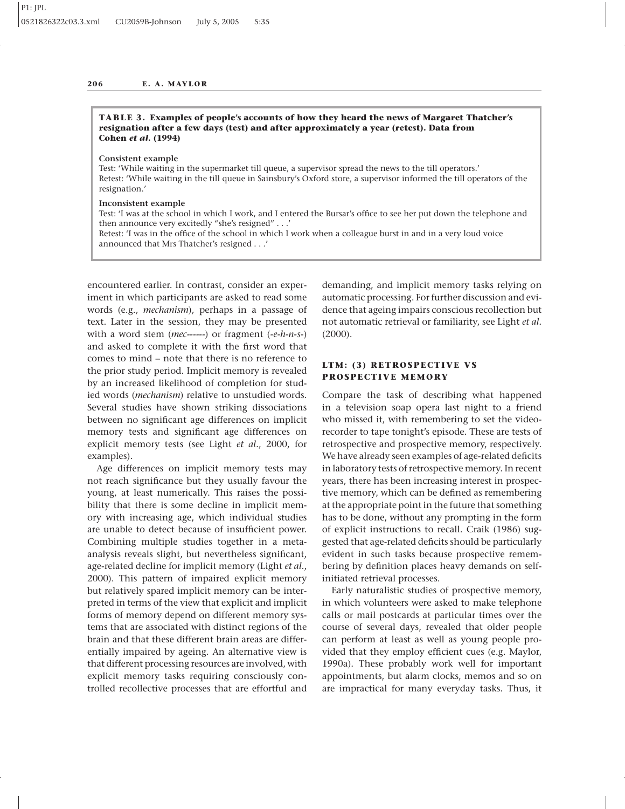#### **206 E. A. MAYLOR**

#### **TABLE 3. Examples of people's accounts of how they heard the news of Margaret Thatcher's resignation after a few days (test) and after approximately a year (retest). Data from Cohen** *et al.* **(1994)**

#### **Consistent example**

Test: 'While waiting in the supermarket till queue, a supervisor spread the news to the till operators.' Retest: 'While waiting in the till queue in Sainsbury's Oxford store, a supervisor informed the till operators of the resignation.'

#### **Inconsistent example**

Test: 'I was at the school in which I work, and I entered the Bursar's office to see her put down the telephone and then announce very excitedly "she's resigned" . . .'

Retest: 'I was in the office of the school in which I work when a colleague burst in and in a very loud voice announced that Mrs Thatcher's resigned . . .'

encountered earlier. In contrast, consider an experiment in which participants are asked to read some words (e.g., *mechanism*), perhaps in a passage of text. Later in the session, they may be presented with a word stem (*mec------*) or fragment (*-e-h-n-s-*) and asked to complete it with the first word that comes to mind – note that there is no reference to the prior study period. Implicit memory is revealed by an increased likelihood of completion for studied words (*mechanism*) relative to unstudied words. Several studies have shown striking dissociations between no significant age differences on implicit memory tests and significant age differences on explicit memory tests (see Light *et al.*, 2000, for examples).

Age differences on implicit memory tests may not reach significance but they usually favour the young, at least numerically. This raises the possibility that there is some decline in implicit memory with increasing age, which individual studies are unable to detect because of insufficient power. Combining multiple studies together in a metaanalysis reveals slight, but nevertheless significant, age-related decline for implicit memory (Light *et al.*, 2000). This pattern of impaired explicit memory but relatively spared implicit memory can be interpreted in terms of the view that explicit and implicit forms of memory depend on different memory systems that are associated with distinct regions of the brain and that these different brain areas are differentially impaired by ageing. An alternative view is that different processing resources are involved, with explicit memory tasks requiring consciously controlled recollective processes that are effortful and demanding, and implicit memory tasks relying on automatic processing. For further discussion and evidence that ageing impairs conscious recollection but not automatic retrieval or familiarity, see Light *et al.* (2000).

## **LTM: (3) RETROSPECTIVE VS PROSPECTIVE MEMORY**

Compare the task of describing what happened in a television soap opera last night to a friend who missed it, with remembering to set the videorecorder to tape tonight's episode. These are tests of retrospective and prospective memory, respectively. We have already seen examples of age-related deficits in laboratory tests of retrospective memory. In recent years, there has been increasing interest in prospective memory, which can be defined as remembering at the appropriate point in the future that something has to be done, without any prompting in the form of explicit instructions to recall. Craik (1986) suggested that age-related deficits should be particularly evident in such tasks because prospective remembering by definition places heavy demands on selfinitiated retrieval processes.

Early naturalistic studies of prospective memory, in which volunteers were asked to make telephone calls or mail postcards at particular times over the course of several days, revealed that older people can perform at least as well as young people provided that they employ efficient cues (e.g. Maylor, 1990a). These probably work well for important appointments, but alarm clocks, memos and so on are impractical for many everyday tasks. Thus, it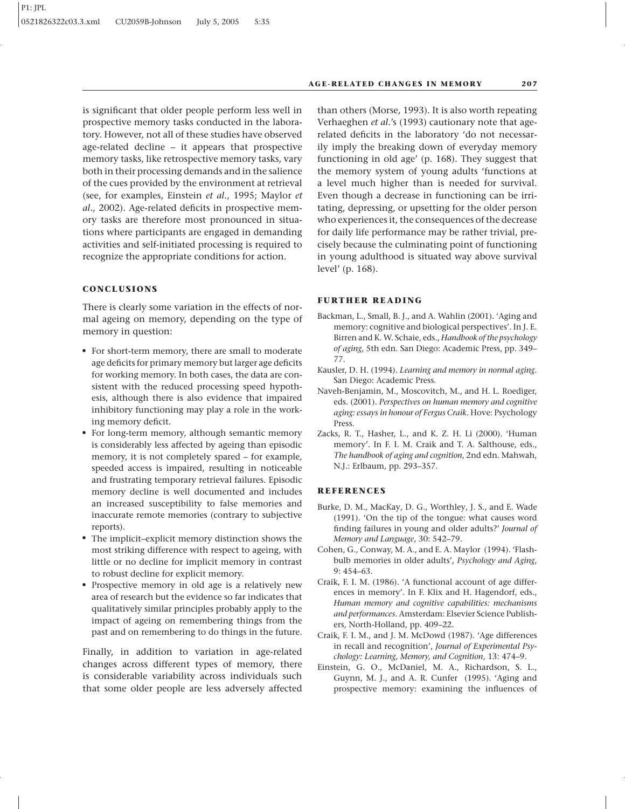is significant that older people perform less well in prospective memory tasks conducted in the laboratory. However, not all of these studies have observed age-related decline – it appears that prospective memory tasks, like retrospective memory tasks, vary both in their processing demands and in the salience of the cues provided by the environment at retrieval (see, for examples, Einstein *et al.*, 1995; Maylor *et al.*, 2002). Age-related deficits in prospective memory tasks are therefore most pronounced in situations where participants are engaged in demanding activities and self-initiated processing is required to recognize the appropriate conditions for action.

## **CONCLUSIONS**

There is clearly some variation in the effects of normal ageing on memory, depending on the type of memory in question:

- For short-term memory, there are small to moderate age deficits for primary memory but larger age deficits for working memory. In both cases, the data are consistent with the reduced processing speed hypothesis, although there is also evidence that impaired inhibitory functioning may play a role in the working memory deficit.
- For long-term memory, although semantic memory is considerably less affected by ageing than episodic memory, it is not completely spared – for example, speeded access is impaired, resulting in noticeable and frustrating temporary retrieval failures. Episodic memory decline is well documented and includes an increased susceptibility to false memories and inaccurate remote memories (contrary to subjective reports).
- The implicit–explicit memory distinction shows the most striking difference with respect to ageing, with little or no decline for implicit memory in contrast to robust decline for explicit memory.
- Prospective memory in old age is a relatively new area of research but the evidence so far indicates that qualitatively similar principles probably apply to the impact of ageing on remembering things from the past and on remembering to do things in the future.

Finally, in addition to variation in age-related changes across different types of memory, there is considerable variability across individuals such that some older people are less adversely affected

than others (Morse, 1993). It is also worth repeating Verhaeghen *et al.*'s (1993) cautionary note that agerelated deficits in the laboratory 'do not necessarily imply the breaking down of everyday memory functioning in old age' (p. 168). They suggest that the memory system of young adults 'functions at a level much higher than is needed for survival. Even though a decrease in functioning can be irritating, depressing, or upsetting for the older person who experiences it, the consequences of the decrease for daily life performance may be rather trivial, precisely because the culminating point of functioning in young adulthood is situated way above survival level' (p. 168).

## **FURTHER READING**

- Backman, L., Small, B. J., and A. Wahlin (2001). 'Aging and memory: cognitive and biological perspectives'. In J. E. Birren and K. W. Schaie, eds., *Handbook of the psychology of aging*, 5th edn. San Diego: Academic Press, pp. 349– 77.
- Kausler, D. H. (1994). *Learning and memory in normal aging*. San Diego: Academic Press.
- Naveh-Benjamin, M., Moscovitch, M., and H. L. Roediger, eds. (2001). *Perspectives on human memory and cognitive aging: essays in honour of Fergus Craik*. Hove: Psychology Press.
- Zacks, R. T., Hasher, L., and K. Z. H. Li (2000). 'Human memory'. In F. I. M. Craik and T. A. Salthouse, eds., *The handbook of aging and cognition*, 2nd edn. Mahwah, N.J.: Erlbaum, pp. 293–357.

#### **REFERENCES**

- Burke, D. M., MacKay, D. G., Worthley, J. S., and E. Wade (1991). 'On the tip of the tongue: what causes word finding failures in young and older adults?' *Journal of Memory and Language*, 30: 542–79.
- Cohen, G., Conway, M. A., and E. A. Maylor (1994). 'Flashbulb memories in older adults', *Psychology and Aging*, 9: 454–63.
- Craik, F. I. M. (1986). 'A functional account of age differences in memory'. In F. Klix and H. Hagendorf, eds., *Human memory and cognitive capabilities: mechanisms and performances*. Amsterdam: Elsevier Science Publishers, North-Holland, pp. 409–22.
- Craik, F. I. M., and J. M. McDowd (1987). 'Age differences in recall and recognition', *Journal of Experimental Psychology: Learning, Memory, and Cognition*, 13: 474–9.
- Einstein, G. O., McDaniel, M. A., Richardson, S. L., Guynn, M. J., and A. R. Cunfer (1995). 'Aging and prospective memory: examining the influences of